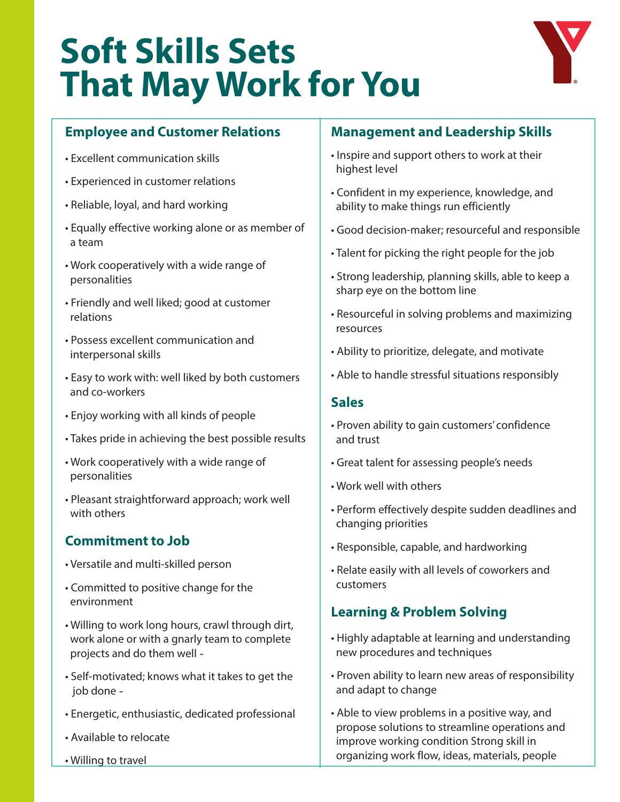# **Soft Skills Sets That May Work for You**



## **Employee and Customer Relations**

- Excellent communication skills
- Experienced in customer relations
- Reliable, loyal, and hard working
- Equally effective working alone or as member of a team
- Work cooperatively with a wide range of personalities
- Friendly and well liked; good at customer relations
- Possess excellent communication and interpersonal skills
- Easy to work with: well liked by both customers and co-workers
- Enjoy working with all kinds of people
- Takes pride in achieving the best possible results
- Work cooperatively with a wide range of personalities
- Pleasant straightforward approach; work well with others

## **Commitment to Job**

- Versatile and multi-skilled person
- Committed to positive change for the environment
- Willing to work long hours, crawl through dirt, work alone or with a gnarly team to complete projects and do them well
- Self-motivated; knows what it takes to get the job done
- Energetic, enthusiastic, dedicated professional
- Available to relocate
- Willing to travel

### **Management and Leadership Skills**

- Inspire and support others to work at their highest level
- Confident in my experience, knowledge, and ability to make things run efficiently
- Good decision-maker; resourceful and responsible
- Talent for picking the right people for the job
- Strong leadership, planning skills, able to keep a sharp eye on the bottom line
- Resourceful in solving problems and maximizing resources
- Ability to prioritize, delegate, and motivate
- Able to handle stressful situations responsibly

#### **Sales**

- Proven ability to gain customers' confidence and trust
- Great talent for assessing people's needs
- Work well with others
- Perform effectively despite sudden deadlines and changing priorities
- Responsible, capable, and hardworking
- Relate easily with all levels of coworkers and customers

## **Learning & Problem Solving**

- Highly adaptable at learning and understanding new procedures and techniques
- Proven ability to learn new areas of responsibility and adapt to change
- Able to view problems in a positive way, and propose solutions to streamline operations and improve working condition Strong skill in organizing work flow, ideas, materials, people